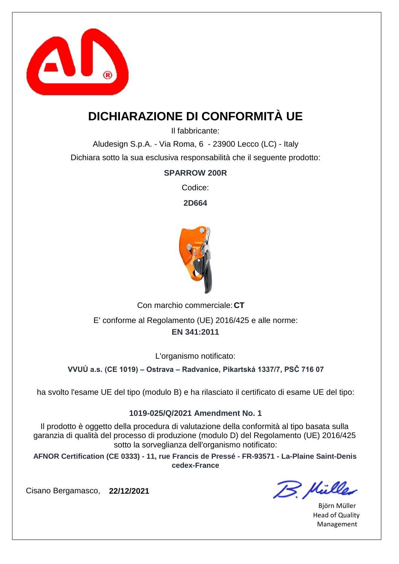

# **DICHIARAZIONE DI CONFORMITÀ UE**

Il fabbricante:

Aludesign S.p.A. - Via Roma, 6 - 23900 Lecco (LC) - Italy Dichiara sotto la sua esclusiva responsabilità che il seguente prodotto:

### **SPARROW 200R**

Codice:

**2D664**



Con marchio commerciale: CT **EN 341:2011** E' conforme al Regolamento (UE) 2016/425 e alle norme:

L'organismo notificato:

**VVUÚ a.s. (CE 1019) – Ostrava – Radvanice, Pikartská 1337/7, PSČ 716 07**

ha svolto l'esame UE del tipo (modulo B) e ha rilasciato il certificato di esame UE del tipo:

#### **1019-025/Q/2021 Amendment No. 1**

Il prodotto è oggetto della procedura di valutazione della conformità al tipo basata sulla garanzia di qualità del processo di produzione (modulo D) del Regolamento (UE) 2016/425 sotto la sorveglianza dell'organismo notificato:

**AFNOR Certification (CE 0333) - 11, rue Francis de Pressé - FR-93571 - La-Plaine Saint-Denis cedex-France**

B. Müller

Björn Müller Head of Quality Management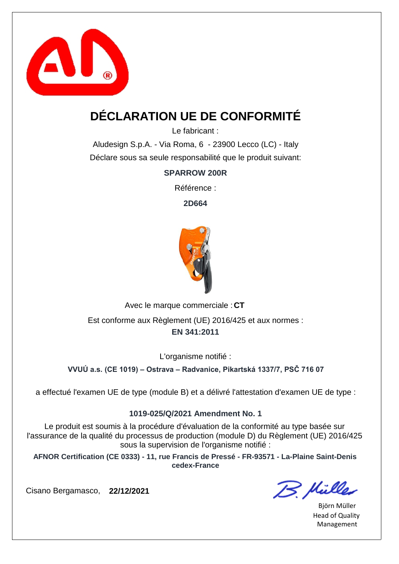

# **DÉCLARATION UE DE CONFORMITÉ**

Le fabricant :

Aludesign S.p.A. - Via Roma, 6 - 23900 Lecco (LC) - Italy Déclare sous sa seule responsabilité que le produit suivant:

**SPARROW 200R**

Référence :

**2D664**



Avec le marque commerciale : CT Est conforme aux Règlement (UE) 2016/425 et aux normes :

#### **EN 341:2011**

L'organisme notifié :

**VVUÚ a.s. (CE 1019) – Ostrava – Radvanice, Pikartská 1337/7, PSČ 716 07**

a effectué l'examen UE de type (module B) et a délivré l'attestation d'examen UE de type :

#### **1019-025/Q/2021 Amendment No. 1**

Le produit est soumis à la procédure d'évaluation de la conformité au type basée sur l'assurance de la qualité du processus de production (module D) du Règlement (UE) 2016/425 sous la supervision de l'organisme notifié :

**AFNOR Certification (CE 0333) - 11, rue Francis de Pressé - FR-93571 - La-Plaine Saint-Denis cedex-France**

B. Mülles

Björn Müller Head of Quality Management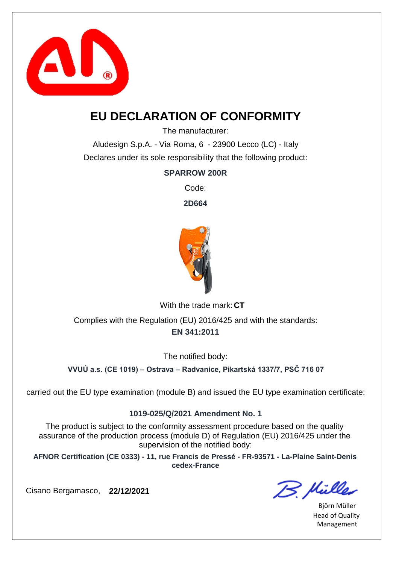

### **EU DECLARATION OF CONFORMITY**

The manufacturer:

Aludesign S.p.A. - Via Roma, 6 - 23900 Lecco (LC) - Italy Declares under its sole responsibility that the following product:

### **SPARROW 200R**

Code:

**2D664**



With the trade mark: CT

**EN 341:2011** Complies with the Regulation (EU) 2016/425 and with the standards:

The notified body:

**VVUÚ a.s. (CE 1019) – Ostrava – Radvanice, Pikartská 1337/7, PSČ 716 07**

carried out the EU type examination (module B) and issued the EU type examination certificate:

#### **1019-025/Q/2021 Amendment No. 1**

The product is subject to the conformity assessment procedure based on the quality assurance of the production process (module D) of Regulation (EU) 2016/425 under the supervision of the notified body:

**AFNOR Certification (CE 0333) - 11, rue Francis de Pressé - FR-93571 - La-Plaine Saint-Denis cedex-France**

B. Müller

Björn Müller Head of Quality Management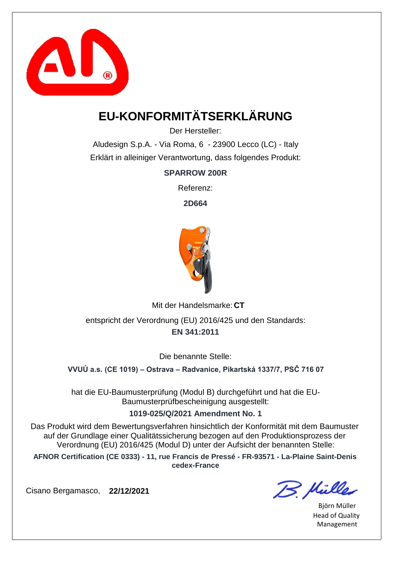

# **EU-KONFORMITÄTSERKLÄRUNG**

Der Hersteller:

Aludesign S.p.A. - Via Roma, 6 - 23900 Lecco (LC) - Italy Erklärt in alleiniger Verantwortung, dass folgendes Produkt:

**SPARROW 200R**

Referenz:

**2D664**



Mit der Handelsmarke: CT

**EN 341:2011** entspricht der Verordnung (EU) 2016/425 und den Standards:

Die benannte Stelle:

**VVUÚ a.s. (CE 1019) – Ostrava – Radvanice, Pikartská 1337/7, PSČ 716 07**

hat die EU-Baumusterprüfung (Modul B) durchgeführt und hat die EU-Baumusterprüfbescheinigung ausgestellt:

**1019-025/Q/2021 Amendment No. 1**

Das Produkt wird dem Bewertungsverfahren hinsichtlich der Konformität mit dem Baumuster auf der Grundlage einer Qualitätssicherung bezogen auf den Produktionsprozess der Verordnung (EU) 2016/425 (Modul D) unter der Aufsicht der benannten Stelle:

**AFNOR Certification (CE 0333) - 11, rue Francis de Pressé - FR-93571 - La-Plaine Saint-Denis cedex-France**

B. Mülles

Björn Müller Head of Quality Management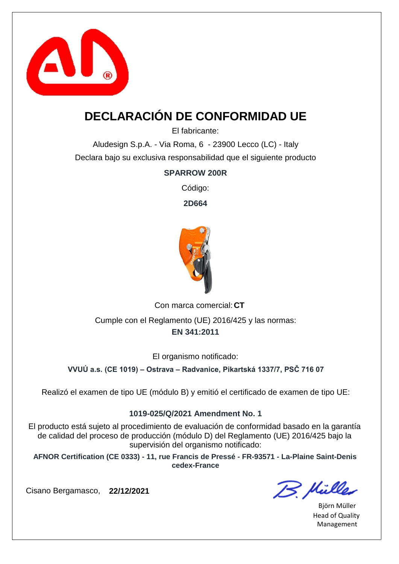

# **DECLARACIÓN DE CONFORMIDAD UE**

El fabricante:

Aludesign S.p.A. - Via Roma, 6 - 23900 Lecco (LC) - Italy Declara bajo su exclusiva responsabilidad que el siguiente producto

#### **SPARROW 200R**

Código:

**2D664**



Con marca comercial: CT **EN 341:2011** Cumple con el Reglamento (UE) 2016/425 y las normas:

El organismo notificado:

**VVUÚ a.s. (CE 1019) – Ostrava – Radvanice, Pikartská 1337/7, PSČ 716 07**

Realizó el examen de tipo UE (módulo B) y emitió el certificado de examen de tipo UE:

#### **1019-025/Q/2021 Amendment No. 1**

El producto está sujeto al procedimiento de evaluación de conformidad basado en la garantía de calidad del proceso de producción (módulo D) del Reglamento (UE) 2016/425 bajo la supervisión del organismo notificado:

**AFNOR Certification (CE 0333) - 11, rue Francis de Pressé - FR-93571 - La-Plaine Saint-Denis cedex-France**

Cisano Bergamasco, **22/12/2021**

B. Mülles

Björn Müller Head of Quality Management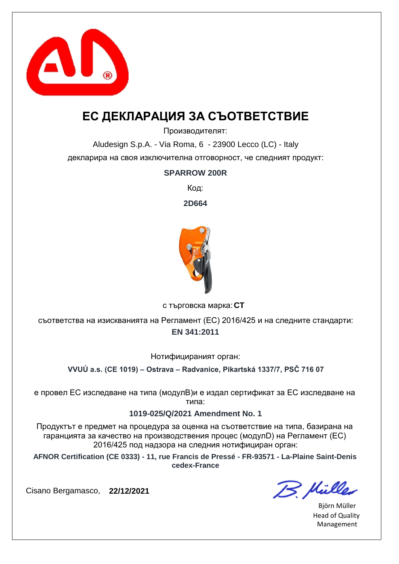

## **ЕС ДЕКЛАРАЦИЯ ЗА СЪОТВЕТСТВИЕ**

Производителят:

Aludesign S.p.A. - Via Roma, 6 - 23900 Lecco (LC) - Italy декларира на своя изключителна отговорност, че следният продукт:

#### **SPARROW 200R**

Код:

**2D664**



**CT** с търговска марка:

**EN 341:2011** съответства на изискванията на Регламент (ЕС) 2016/425 и на следните стандарти:

Нотифицираният орган:

**VVUÚ a.s. (CE 1019) – Ostrava – Radvanice, Pikartská 1337/7, PSČ 716 07**

е провел ЕС изследване на типа (модулB)и е издал сертификат за ЕС изследване на типа:

#### **1019-025/Q/2021 Amendment No. 1**

Продуктът е предмет на процедура за оценка на съответствие на типа, базирана на гаранцията за качество на производствения процес (модулD) на Регламент (ЕС) 2016/425 под надзора на следния нотифициран орган:

**AFNOR Certification (CE 0333) - 11, rue Francis de Pressé - FR-93571 - La-Plaine Saint-Denis cedex-France**

B. Hülles

Björn Müller Head of Quality Management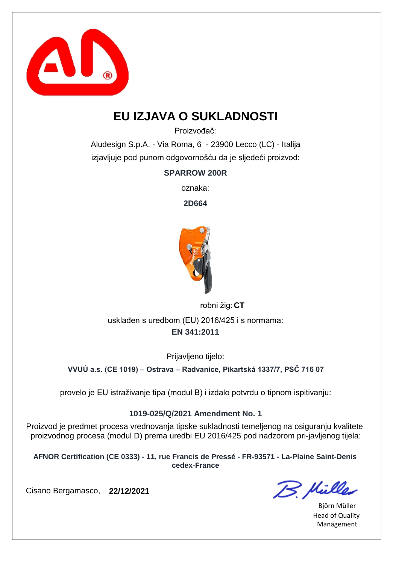

# **EU IZJAVA O SUKLADNOSTI**

Proizvođač:

Aludesign S.p.A. - Via Roma, 6 - 23900 Lecco (LC) - Italija izjavljuje pod punom odgovornošću da je sljedeći proizvod:

**SPARROW 200R**

oznaka:

**2D664**



robni žig: CT

**EN 341:2011** usklađen s uredbom (EU) 2016/425 i s normama:

Prijavljeno tijelo:

**VVUÚ a.s. (CE 1019) – Ostrava – Radvanice, Pikartská 1337/7, PSČ 716 07**

provelo je EU istraživanje tipa (modul B) i izdalo potvrdu o tipnom ispitivanju:

#### **1019-025/Q/2021 Amendment No. 1**

Proizvod je predmet procesa vrednovanja tipske sukladnosti temeljenog na osiguranju kvalitete proizvodnog procesa (modul D) prema uredbi EU 2016/425 pod nadzorom pri-javljenog tijela:

**AFNOR Certification (CE 0333) - 11, rue Francis de Pressé - FR-93571 - La-Plaine Saint-Denis cedex-France**

B. Hülles

Björn Müller Head of Quality Management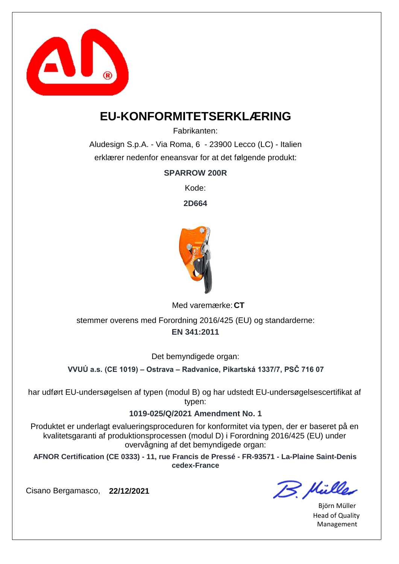

### **EU-KONFORMITETSERKLÆRING**

Fabrikanten:

Aludesign S.p.A. - Via Roma, 6 - 23900 Lecco (LC) - Italien erklærer nedenfor eneansvar for at det følgende produkt:

**SPARROW 200R**

Kode:

**2D664**



Med varemærke: CT

**EN 341:2011** stemmer overens med Forordning 2016/425 (EU) og standarderne:

Det bemyndigede organ:

**VVUÚ a.s. (CE 1019) – Ostrava – Radvanice, Pikartská 1337/7, PSČ 716 07**

har udført EU-undersøgelsen af typen (modul B) og har udstedt EU-undersøgelsescertifikat af typen:

#### **1019-025/Q/2021 Amendment No. 1**

Produktet er underlagt evalueringsproceduren for konformitet via typen, der er baseret på en kvalitetsgaranti af produktionsprocessen (modul D) i Forordning 2016/425 (EU) under overvågning af det bemyndigede organ:

**AFNOR Certification (CE 0333) - 11, rue Francis de Pressé - FR-93571 - La-Plaine Saint-Denis cedex-France**

B. Mülles

Björn Müller Head of Quality Management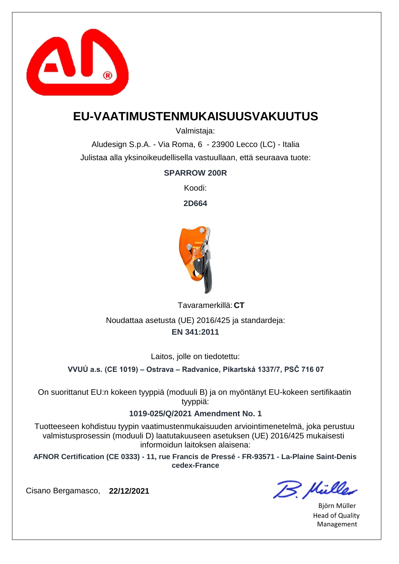

### **EU-VAATIMUSTENMUKAISUUSVAKUUTUS**

Valmistaja:

Aludesign S.p.A. - Via Roma, 6 - 23900 Lecco (LC) - Italia Julistaa alla yksinoikeudellisella vastuullaan, että seuraava tuote:

### **SPARROW 200R**

Koodi:

**2D664**



**CT** Tavaramerkillä: **EN 341:2011** Noudattaa asetusta (UE) 2016/425 ja standardeja:

Laitos, jolle on tiedotettu:

**VVUÚ a.s. (CE 1019) – Ostrava – Radvanice, Pikartská 1337/7, PSČ 716 07**

On suorittanut EU:n kokeen tyyppiä (moduuli B) ja on myöntänyt EU-kokeen sertifikaatin tyyppiä:

#### **1019-025/Q/2021 Amendment No. 1**

Tuotteeseen kohdistuu tyypin vaatimustenmukaisuuden arviointimenetelmä, joka perustuu valmistusprosessin (moduuli D) laatutakuuseen asetuksen (UE) 2016/425 mukaisesti informoidun laitoksen alaisena:

**AFNOR Certification (CE 0333) - 11, rue Francis de Pressé - FR-93571 - La-Plaine Saint-Denis cedex-France**

B. Hülles

Björn Müller Head of Quality Management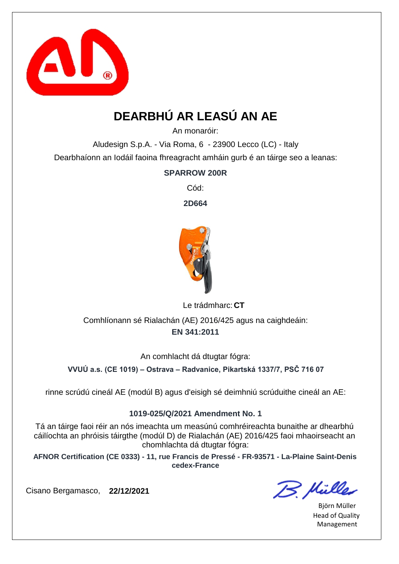

# **DEARBHÚ AR LEASÚ AN AE**

An monaróir:

Aludesign S.p.A. - Via Roma, 6 - 23900 Lecco (LC) - Italy Dearbhaíonn an Iodáil faoina fhreagracht amháin gurb é an táirge seo a leanas:

### **SPARROW 200R**

Cód:

**2D664**



Le trádmharc: CT

**EN 341:2011** Comhlíonann sé Rialachán (AE) 2016/425 agus na caighdeáin:

An comhlacht dá dtugtar fógra:

**VVUÚ a.s. (CE 1019) – Ostrava – Radvanice, Pikartská 1337/7, PSČ 716 07**

rinne scrúdú cineál AE (modúl B) agus d'eisigh sé deimhniú scrúduithe cineál an AE:

#### **1019-025/Q/2021 Amendment No. 1**

Tá an táirge faoi réir an nós imeachta um measúnú comhréireachta bunaithe ar dhearbhú cáilíochta an phróisis táirgthe (modúl D) de Rialachán (AE) 2016/425 faoi mhaoirseacht an chomhlachta dá dtugtar fógra:

**AFNOR Certification (CE 0333) - 11, rue Francis de Pressé - FR-93571 - La-Plaine Saint-Denis cedex-France**

B. Mülles

Björn Müller Head of Quality Management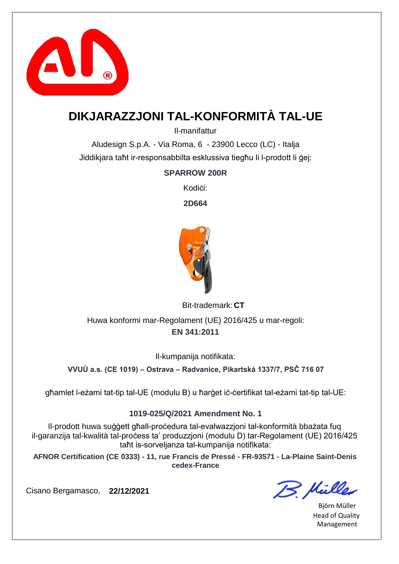

# **DIKJARAZZJONI TAL-KONFORMITÀ TAL-UE**

Il-manifattur

Aludesign S.p.A. - Via Roma, 6 - 23900 Lecco (LC) - Italja Jiddikjara taħt ir-responsabbilta esklussiva tiegħu li l-prodott li ġej:

### **SPARROW 200R**

Kodi**ci:** 

**2D664**



Bit-trademark: CT

**EN 341:2011** Huwa konformi mar-Regolament (UE) 2016/425 u mar-regoli:

Il-kumpanija notifikata:

**VVUÚ a.s. (CE 1019) – Ostrava – Radvanice, Pikartská 1337/7, PSČ 716 07**

għamlet l-eżami tat-tip tal-UE (modulu B) u ħarġet iċ-ċertifikat tal-eżami tat-tip tal-UE:

#### **1019-025/Q/2021 Amendment No. 1**

Il-prodott huwa suġġett għall-proċedura tal-evalwazzjoni tal-konformità bbażata fuq il-garanzija tal-kwalità tal-proċess ta' produzzjoni (modulu D) tar-Regolament (UE) 2016/425 taħt is-sorveljanza tal-kumpanija notifikata:

**AFNOR Certification (CE 0333) - 11, rue Francis de Pressé - FR-93571 - La-Plaine Saint-Denis cedex-France**

B. Mülles

Björn Müller Head of Quality Management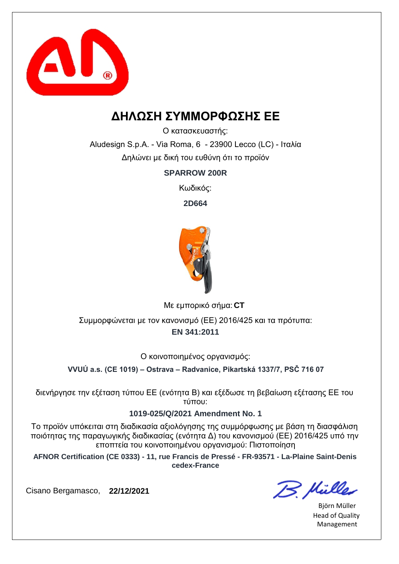

### **ΔΗΛΩΣΗ ΣΥΜΜΟΡΦΩΣΗΣ ΕΕ**

Ο κατασκευαστής:

Aludesign S.p.A. - Via Roma, 6 - 23900 Lecco (LC) - Ιταλία Δηλώνει με δική του ευθύνη ότι το προϊόν

**SPARROW 200R**

Κωδικός:

**2D664**



**CT** Με εμπορικό σήμα:

**EN 341:2011** Συμμορφώνεται με τον κανονισμό (ΕΕ) 2016/425 και τα πρότυπα:

Ο κοινοποιημένος οργανισμός:

**VVUÚ a.s. (CE 1019) – Ostrava – Radvanice, Pikartská 1337/7, PSČ 716 07**

διενήργησε την εξέταση τύπου ΕΕ (ενότητα Β) και εξέδωσε τη βεβαίωση εξέτασης ΕΕ του τύπου:

#### **1019-025/Q/2021 Amendment No. 1**

Το προϊόν υπόκειται στη διαδικασία αξιολόγησης της συμμόρφωσης με βάση τη διασφάλιση ποιότητας της παραγωγικής διαδικασίας (ενότητα Δ) του κανονισμού (ΕΕ) 2016/425 υπό την εποπτεία του κοινοποιημένου οργανισμού: Πιστοποίηση

**AFNOR Certification (CE 0333) - 11, rue Francis de Pressé - FR-93571 - La-Plaine Saint-Denis cedex-France**

B. Hülles

Björn Müller Head of Quality Management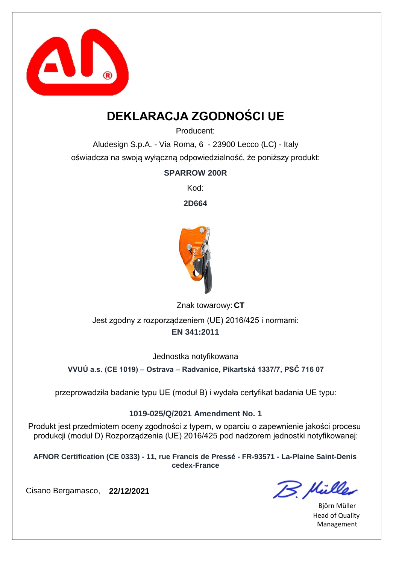

# **DEKLARACJA ZGODNOŚCI UE**

Producent:

Aludesign S.p.A. - Via Roma, 6 - 23900 Lecco (LC) - Italy oświadcza na swoją wyłączną odpowiedzialność, że poniższy produkt:

### **SPARROW 200R**

Kod:

**2D664**



Znak towarowy: CT **EN 341:2011** Jest zgodny z rozporządzeniem (UE) 2016/425 i normami:

Jednostka notyfikowana

**VVUÚ a.s. (CE 1019) – Ostrava – Radvanice, Pikartská 1337/7, PSČ 716 07**

przeprowadziła badanie typu UE (moduł B) i wydała certyfikat badania UE typu:

### **1019-025/Q/2021 Amendment No. 1**

Produkt jest przedmiotem oceny zgodności z typem, w oparciu o zapewnienie jakości procesu produkcji (moduł D) Rozporządzenia (UE) 2016/425 pod nadzorem jednostki notyfikowanej:

**AFNOR Certification (CE 0333) - 11, rue Francis de Pressé - FR-93571 - La-Plaine Saint-Denis cedex-France**

B. Mülles

Björn Müller Head of Quality Management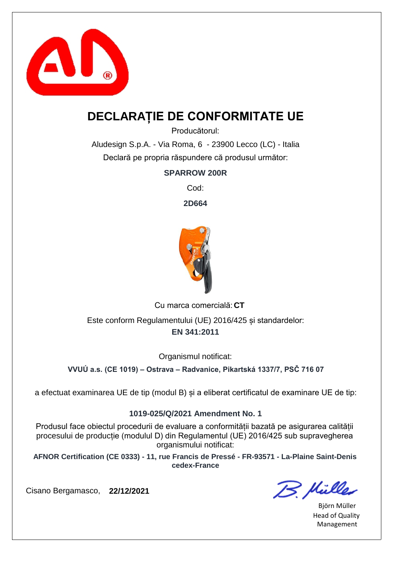

## **DECLARAȚIE DE CONFORMITATE UE**

Producătorul:

Aludesign S.p.A. - Via Roma, 6 - 23900 Lecco (LC) - Italia Declară pe propria răspundere că produsul următor:

**SPARROW 200R**

Cod:

**2D664**



Cu marca comercială: CT

**EN 341:2011** Este conform Regulamentului (UE) 2016/425 și standardelor:

Organismul notificat:

**VVUÚ a.s. (CE 1019) – Ostrava – Radvanice, Pikartská 1337/7, PSČ 716 07**

a efectuat examinarea UE de tip (modul B) și a eliberat certificatul de examinare UE de tip:

#### **1019-025/Q/2021 Amendment No. 1**

Produsul face obiectul procedurii de evaluare a conformității bazată pe asigurarea calității procesului de producție (modulul D) din Regulamentul (UE) 2016/425 sub supravegherea organismului notificat:

**AFNOR Certification (CE 0333) - 11, rue Francis de Pressé - FR-93571 - La-Plaine Saint-Denis cedex-France**

B. Mülles

Björn Müller Head of Quality Management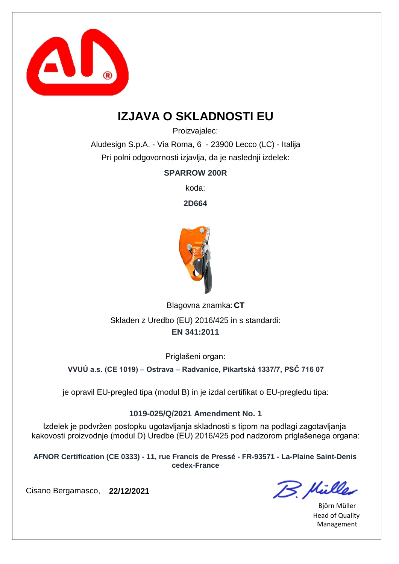

## **IZJAVA O SKLADNOSTI EU**

Proizvajalec:

Aludesign S.p.A. - Via Roma, 6 - 23900 Lecco (LC) - Italija Pri polni odgovornosti izjavlja, da je naslednji izdelek:

**SPARROW 200R**

koda:

**2D664**



Blagovna znamka: CT **EN 341:2011** Skladen z Uredbo (EU) 2016/425 in s standardi:

Priglašeni organ:

**VVUÚ a.s. (CE 1019) – Ostrava – Radvanice, Pikartská 1337/7, PSČ 716 07**

je opravil EU-pregled tipa (modul B) in je izdal certifikat o EU-pregledu tipa:

#### **1019-025/Q/2021 Amendment No. 1**

Izdelek je podvržen postopku ugotavljanja skladnosti s tipom na podlagi zagotavljanja kakovosti proizvodnje (modul D) Uredbe (EU) 2016/425 pod nadzorom priglašenega organa:

**AFNOR Certification (CE 0333) - 11, rue Francis de Pressé - FR-93571 - La-Plaine Saint-Denis cedex-France**

B. Müller

Björn Müller Head of Quality Management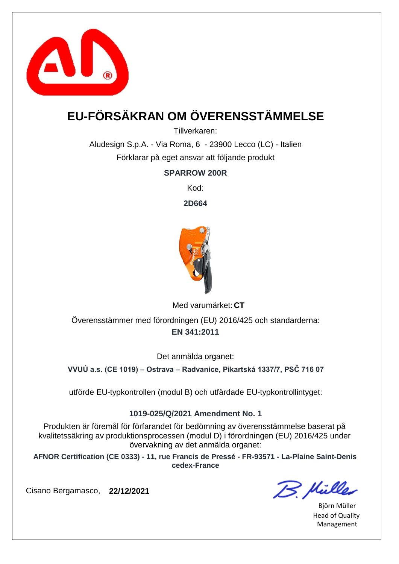

# **EU-FÖRSÄKRAN OM ÖVERENSSTÄMMELSE**

Tillverkaren:

Aludesign S.p.A. - Via Roma, 6 - 23900 Lecco (LC) - Italien Förklarar på eget ansvar att följande produkt

**SPARROW 200R**

Kod:

**2D664**



Med varumärket: CT

**EN 341:2011** Överensstämmer med förordningen (EU) 2016/425 och standarderna:

Det anmälda organet:

**VVUÚ a.s. (CE 1019) – Ostrava – Radvanice, Pikartská 1337/7, PSČ 716 07**

utförde EU-typkontrollen (modul B) och utfärdade EU-typkontrollintyget:

#### **1019-025/Q/2021 Amendment No. 1**

Produkten är föremål för förfarandet för bedömning av överensstämmelse baserat på kvalitetssäkring av produktionsprocessen (modul D) i förordningen (EU) 2016/425 under övervakning av det anmälda organet:

**AFNOR Certification (CE 0333) - 11, rue Francis de Pressé - FR-93571 - La-Plaine Saint-Denis cedex-France**

B. Mülles

Björn Müller Head of Quality Management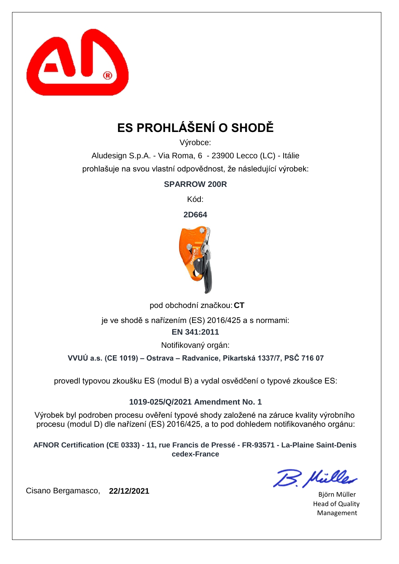

# **ES PROHLÁŠENÍ O SHODĚ**

Výrobce:

Aludesign S.p.A. - Via Roma, 6 - 23900 Lecco (LC) - Itálie prohlašuje na svou vlastní odpovědnost, že následující výrobek:

**SPARROW 200R**

Kód:

**2D664**



pod obchodní značkou: **CT** 

je ve shodě s nařízením (ES) 2016/425 a s normami:

**EN 341:2011**

Notifikovaný orgán:

**VVUÚ a.s. (CE 1019) – Ostrava – Radvanice, Pikartská 1337/7, PSČ 716 07**

provedl typovou zkoušku ES (modul B) a vydal osvědčení o typové zkoušce ES:

**1019-025/Q/2021 Amendment No. 1**

Výrobek byl podroben procesu ověření typové shody založené na záruce kvality výrobního procesu (modul D) dle nařízení (ES) 2016/425, a to pod dohledem notifikovaného orgánu:

**AFNOR Certification (CE 0333) - 11, rue Francis de Pressé - FR-93571 - La-Plaine Saint-Denis cedex-France**

B. Mülles

Björn Müller Head of Quality Management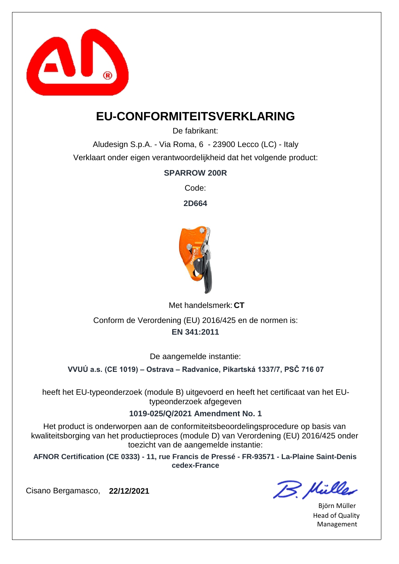

### **EU-CONFORMITEITSVERKLARING**

De fabrikant:

Aludesign S.p.A. - Via Roma, 6 - 23900 Lecco (LC) - Italy Verklaart onder eigen verantwoordelijkheid dat het volgende product:

### **SPARROW 200R**

Code:

**2D664**



Met handelsmerk: CT

**EN 341:2011** Conform de Verordening (EU) 2016/425 en de normen is:

De aangemelde instantie:

**VVUÚ a.s. (CE 1019) – Ostrava – Radvanice, Pikartská 1337/7, PSČ 716 07**

heeft het EU-typeonderzoek (module B) uitgevoerd en heeft het certificaat van het EUtypeonderzoek afgegeven

**1019-025/Q/2021 Amendment No. 1**

Het product is onderworpen aan de conformiteitsbeoordelingsprocedure op basis van kwaliteitsborging van het productieproces (module D) van Verordening (EU) 2016/425 onder toezicht van de aangemelde instantie:

**AFNOR Certification (CE 0333) - 11, rue Francis de Pressé - FR-93571 - La-Plaine Saint-Denis cedex-France**

B. Mülles

Björn Müller Head of Quality Management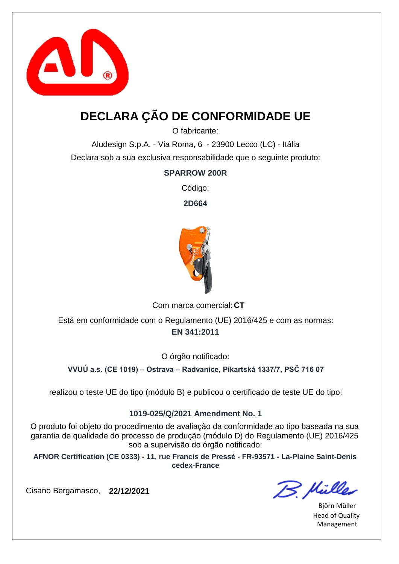

# **DECLARA ÇÃO DE CONFORMIDADE UE**

O fabricante:

Aludesign S.p.A. - Via Roma, 6 - 23900 Lecco (LC) - Itália Declara sob a sua exclusiva responsabilidade que o seguinte produto:

#### **SPARROW 200R**

Código:

**2D664**



Com marca comercial: CT

**EN 341:2011** Está em conformidade com o Regulamento (UE) 2016/425 e com as normas:

O órgão notificado:

**VVUÚ a.s. (CE 1019) – Ostrava – Radvanice, Pikartská 1337/7, PSČ 716 07**

realizou o teste UE do tipo (módulo B) e publicou o certificado de teste UE do tipo:

#### **1019-025/Q/2021 Amendment No. 1**

O produto foi objeto do procedimento de avaliação da conformidade ao tipo baseada na sua garantia de qualidade do processo de produção (módulo D) do Regulamento (UE) 2016/425 sob a supervisão do órgão notificado:

**AFNOR Certification (CE 0333) - 11, rue Francis de Pressé - FR-93571 - La-Plaine Saint-Denis cedex-France**

B. Mülles

Björn Müller Head of Quality Management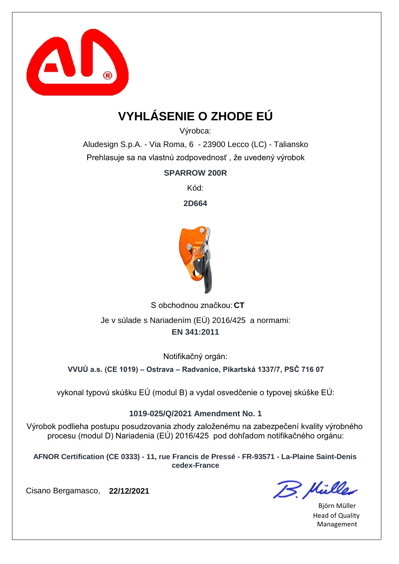

# **VYHLÁSENIE O ZHODE EÚ**

Výrobca:

Aludesign S.p.A. - Via Roma, 6 - 23900 Lecco (LC) - Taliansko Prehlasuje sa na vlastnú zodpovednosť , že uvedený výrobok

**SPARROW 200R**

Kód:

**2D664**



S obchodnou značkou: CT **EN 341:2011** Je v súlade s Nariadením (EÚ) 2016/425 a normami:

Notifikačný orgán:

**VVUÚ a.s. (CE 1019) – Ostrava – Radvanice, Pikartská 1337/7, PSČ 716 07**

vykonal typovú skúšku EÚ (modul B) a vydal osvedčenie o typovej skúške EÚ:

#### **1019-025/Q/2021 Amendment No. 1**

Výrobok podlieha postupu posudzovania zhody založenému na zabezpečení kvality výrobného procesu (modul D) Nariadenia (EÚ) 2016/425 pod dohľadom notifikačného orgánu:

**AFNOR Certification (CE 0333) - 11, rue Francis de Pressé - FR-93571 - La-Plaine Saint-Denis cedex-France**

B. Mülles

Björn Müller Head of Quality Management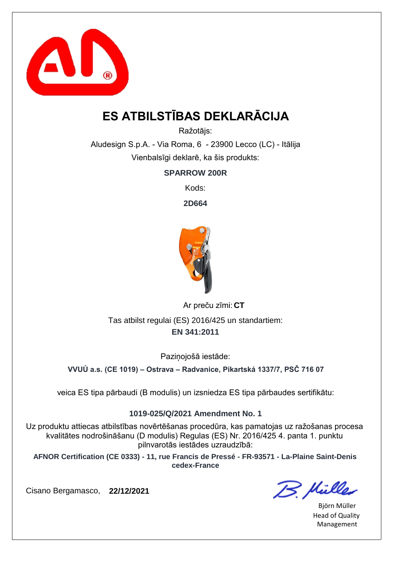

# **ES ATBILSTĪBAS DEKLARĀCIJA**

Ražotājs:

Aludesign S.p.A. - Via Roma, 6 - 23900 Lecco (LC) - Itālija Vienbalsīgi deklarē, ka šis produkts:

**SPARROW 200R**

Kods:

**2D664**



**CT** Ar preču zīmi: **EN 341:2011** Tas atbilst regulai (ES) 2016/425 un standartiem:

Pazinojošā iestāde:

**VVUÚ a.s. (CE 1019) – Ostrava – Radvanice, Pikartská 1337/7, PSČ 716 07**

veica ES tipa pārbaudi (B modulis) un izsniedza ES tipa pārbaudes sertifikātu:

#### **1019-025/Q/2021 Amendment No. 1**

Uz produktu attiecas atbilstības novērtēšanas procedūra, kas pamatojas uz ražošanas procesa kvalitātes nodrošināšanu (D modulis) Regulas (ES) Nr. 2016/425 4. panta 1. punktu pilnvarotās iestādes uzraudzībā:

**AFNOR Certification (CE 0333) - 11, rue Francis de Pressé - FR-93571 - La-Plaine Saint-Denis cedex-France**

B. Hülles

Björn Müller Head of Quality Management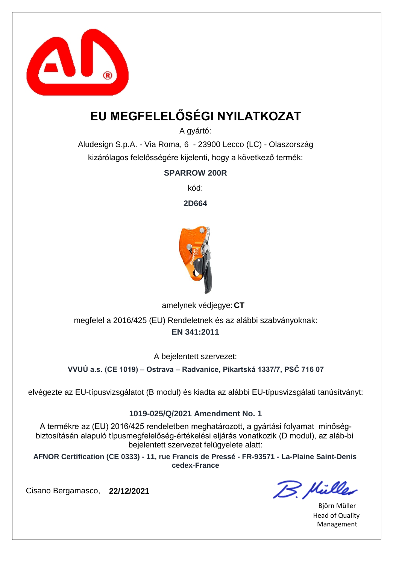

# **EU MEGFELELŐSÉGI NYILATKOZAT**

A gyártó:

Aludesign S.p.A. - Via Roma, 6 - 23900 Lecco (LC) - Olaszország kizárólagos felelősségére kijelenti, hogy a következő termék:

**SPARROW 200R**

kód:

**2D664**



amelynek védjegye: CT

**EN 341:2011** megfelel a 2016/425 (EU) Rendeletnek és az alábbi szabványoknak:

A bejelentett szervezet:

**VVUÚ a.s. (CE 1019) – Ostrava – Radvanice, Pikartská 1337/7, PSČ 716 07**

elvégezte az EU-típusvizsgálatot (B modul) és kiadta az alábbi EU-típusvizsgálati tanúsítványt:

#### **1019-025/Q/2021 Amendment No. 1**

A termékre az (EU) 2016/425 rendeletben meghatározott, a gyártási folyamat minőségbiztosításán alapuló típusmegfelelőség-értékelési eljárás vonatkozik (D modul), az aláb-bi bejelentett szervezet felügyelete alatt:

**AFNOR Certification (CE 0333) - 11, rue Francis de Pressé - FR-93571 - La-Plaine Saint-Denis cedex-France**

B. Mülles

Björn Müller Head of Quality Management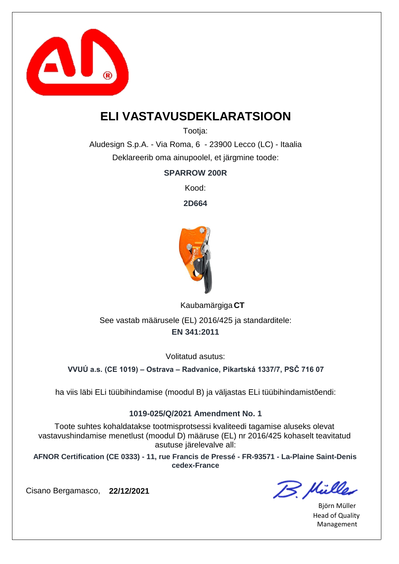

# **ELI VASTAVUSDEKLARATSIOON**

Tootia:

Aludesign S.p.A. - Via Roma, 6 - 23900 Lecco (LC) - Itaalia Deklareerib oma ainupoolel, et järgmine toode:

**SPARROW 200R**

Kood:

**2D664**



**CT** Kaubamärgiga **EN 341:2011** See vastab määrusele (EL) 2016/425 ja standarditele:

Volitatud asutus:

**VVUÚ a.s. (CE 1019) – Ostrava – Radvanice, Pikartská 1337/7, PSČ 716 07**

ha viis läbi ELi tüübihindamise (moodul B) ja väljastas ELi tüübihindamistõendi:

### **1019-025/Q/2021 Amendment No. 1**

Toote suhtes kohaldatakse tootmisprotsessi kvaliteedi tagamise aluseks olevat vastavushindamise menetlust (moodul D) määruse (EL) nr 2016/425 kohaselt teavitatud asutuse järelevalve all:

**AFNOR Certification (CE 0333) - 11, rue Francis de Pressé - FR-93571 - La-Plaine Saint-Denis cedex-France**

B. Hülles

Björn Müller Head of Quality Management